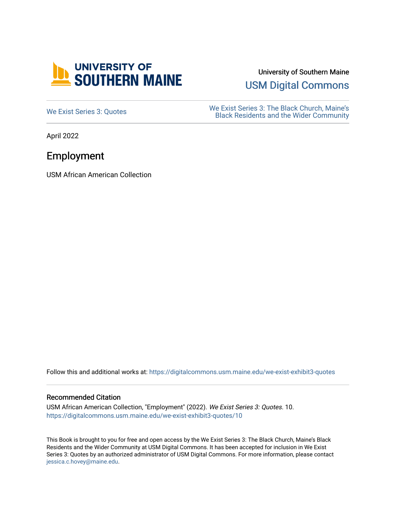

University of Southern Maine

[USM Digital Commons](https://digitalcommons.usm.maine.edu/) 

[We Exist Series 3: Quotes](https://digitalcommons.usm.maine.edu/we-exist-exhibit3-quotes) We Exist Series 3: The Black Church, Maine's<br>
Read Residents and the Wider Community [Black Residents and the Wider Community](https://digitalcommons.usm.maine.edu/we-exist-exhibit3) 

April 2022

## Employment

USM African American Collection

Follow this and additional works at: [https://digitalcommons.usm.maine.edu/we-exist-exhibit3-quotes](https://digitalcommons.usm.maine.edu/we-exist-exhibit3-quotes?utm_source=digitalcommons.usm.maine.edu%2Fwe-exist-exhibit3-quotes%2F10&utm_medium=PDF&utm_campaign=PDFCoverPages) 

## Recommended Citation

USM African American Collection, "Employment" (2022). We Exist Series 3: Quotes. 10. [https://digitalcommons.usm.maine.edu/we-exist-exhibit3-quotes/10](https://digitalcommons.usm.maine.edu/we-exist-exhibit3-quotes/10?utm_source=digitalcommons.usm.maine.edu%2Fwe-exist-exhibit3-quotes%2F10&utm_medium=PDF&utm_campaign=PDFCoverPages) 

This Book is brought to you for free and open access by the We Exist Series 3: The Black Church, Maine's Black Residents and the Wider Community at USM Digital Commons. It has been accepted for inclusion in We Exist Series 3: Quotes by an authorized administrator of USM Digital Commons. For more information, please contact [jessica.c.hovey@maine.edu.](mailto:ian.fowler@maine.edu)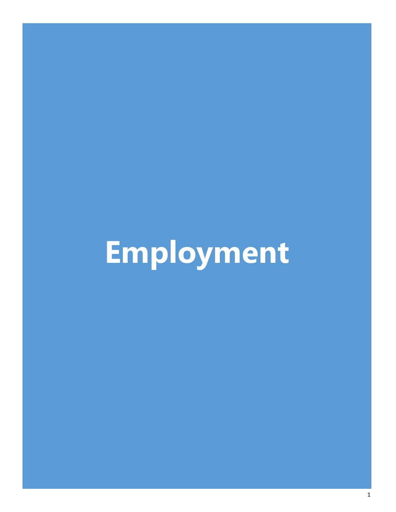## **Employment**